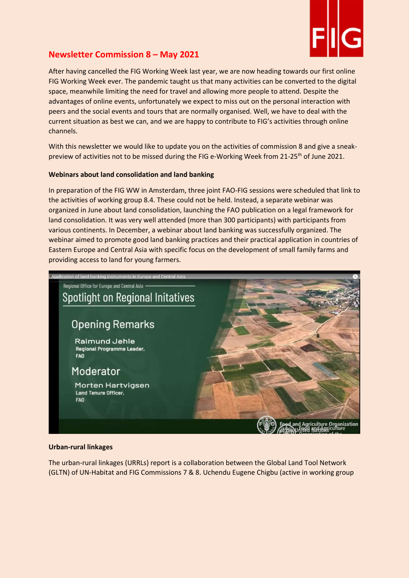

# Newsletter Commission 8 – May 2021

After having cancelled the FIG Working Week last year, we are now heading towards our first online FIG Working Week ever. The pandemic taught us that many activities can be converted to the digital space, meanwhile limiting the need for travel and allowing more people to attend. Despite the advantages of online events, unfortunately we expect to miss out on the personal interaction with peers and the social events and tours that are normally organised. Well, we have to deal with the current situation as best we can, and we are happy to contribute to FIG's activities through online channels.

With this newsletter we would like to update you on the activities of commission 8 and give a sneakpreview of activities not to be missed during the FIG e-Working Week from 21-25<sup>th</sup> of June 2021.

## Webinars about land consolidation and land banking

In preparation of the FIG WW in Amsterdam, three joint FAO-FIG sessions were scheduled that link to the activities of working group 8.4. These could not be held. Instead, a separate webinar was organized in June about land consolidation, launching the FAO publication on a legal framework for land consolidation. It was very well attended (more than 300 participants) with participants from various continents. In December, a webinar about land banking was successfully organized. The webinar aimed to promote good land banking practices and their practical application in countries of Eastern Europe and Central Asia with specific focus on the development of small family farms and providing access to land for young farmers.



#### Urban-rural linkages

The urban-rural linkages (URRLs) report is a collaboration between the Global Land Tool Network (GLTN) of UN-Habitat and FIG Commissions 7 & 8. Uchendu Eugene Chigbu (active in working group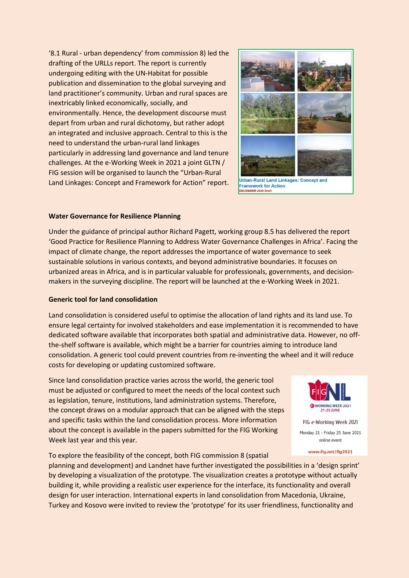'8.1 Rural - urban dependency' from commission 8) led the drafting of the URLLs report. The report is currently undergoing editing with the UN-Habitat for possible publication and dissemination to the global surveying and land practitioner's community. Urban and rural spaces are inextricably linked economically, socially, and environmentally. Hence, the development discourse must depart from urban and rural dichotomy, but rather adopt an integrated and inclusive approach. Central to this is the need to understand the urban-rural land linkages particularly in addressing land governance and land tenure challenges. At the e-Working Week in 2021 a joint GLTN / FIG session will be organised to launch the "Urban-Rural Land Linkages: Concept and Framework for Action" report.



Urban-Rural Land Linkages: Concept and **Framework for Action** 

## Water Governance for Resilience Planning

Under the guidance of principal author Richard Pagett, working group 8.5 has delivered the report 'Good Practice for Resilience Planning to Address Water Governance Challenges in Africa'. Facing the impact of climate change, the report addresses the importance of water governance to seek sustainable solutions in various contexts, and beyond administrative boundaries. It focuses on urbanized areas in Africa, and is in particular valuable for professionals, governments, and decisionmakers in the surveying discipline. The report will be launched at the e-Working Week in 2021.

#### Generic tool for land consolidation

Land consolidation is considered useful to optimise the allocation of land rights and its land use. To ensure legal certainty for involved stakeholders and ease implementation it is recommended to have dedicated software available that incorporates both spatial and administrative data. However, no offthe-shelf software is available, which might be a barrier for countries aiming to introduce land consolidation. A generic tool could prevent countries from re-inventing the wheel and it will reduce costs for developing or updating customized software.

Since land consolidation practice varies across the world, the generic tool must be adjusted or configured to meet the needs of the local context such as legislation, tenure, institutions, land administration systems. Therefore, the concept draws on a modular approach that can be aligned with the steps and specific tasks within the land consolidation process. More information about the concept is available in the papers submitted for the FIG Working Week last year and this year.



Monday 21 - Friday 25 June 2021 online event

www.fig.net/fig2021

To explore the feasibility of the concept, both FIG commission 8 (spatial

planning and development) and Landnet have further investigated the possibilities in a 'design sprint' by developing a visualization of the prototype. The visualization creates a prototype without actually building it, while providing a realistic user experience for the interface, its functionality and overall design for user interaction. International experts in land consolidation from Macedonia, Ukraine, Turkey and Kosovo were invited to review the 'prototype' for its user friendliness, functionality and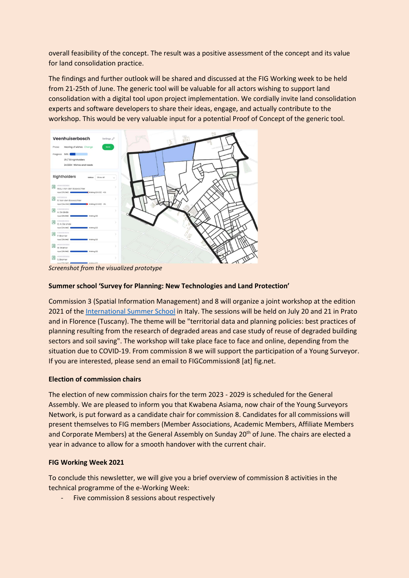overall feasibility of the concept. The result was a positive assessment of the concept and its value for land consolidation practice.

The findings and further outlook will be shared and discussed at the FIG Working week to be held from 21-25th of June. The generic tool will be valuable for all actors wishing to support land consolidation with a digital tool upon project implementation. We cordially invite land consolidation experts and software developers to share their ideas, engage, and actually contribute to the workshop. This would be very valuable input for a potential Proof of Concept of the generic tool.



Screenshot from the visualized prototype

## Summer school 'Survey for Planning: New Technologies and Land Protection'

Commission 3 (Spatial Information Management) and 8 will organize a joint workshop at the edition 2021 of the International Summer School in Italy. The sessions will be held on July 20 and 21 in Prato and in Florence (Tuscany). The theme will be "territorial data and planning policies: best practices of planning resulting from the research of degraded areas and case study of reuse of degraded building sectors and soil saving". The workshop will take place face to face and online, depending from the situation due to COVID-19. From commission 8 we will support the participation of a Young Surveyor. If you are interested, please send an email to FIGCommission8 [at] fig.net.

# Election of commission chairs

The election of new commission chairs for the term 2023 - 2029 is scheduled for the General Assembly. We are pleased to inform you that Kwabena Asiama, now chair of the Young Surveyors Network, is put forward as a candidate chair for commission 8. Candidates for all commissions will present themselves to FIG members (Member Associations, Academic Members, Affiliate Members and Corporate Members) at the General Assembly on Sunday 20<sup>th</sup> of June. The chairs are elected a year in advance to allow for a smooth handover with the current chair.

#### FIG Working Week 2021

To conclude this newsletter, we will give you a brief overview of commission 8 activities in the technical programme of the e-Working Week:

- Five commission 8 sessions about respectively